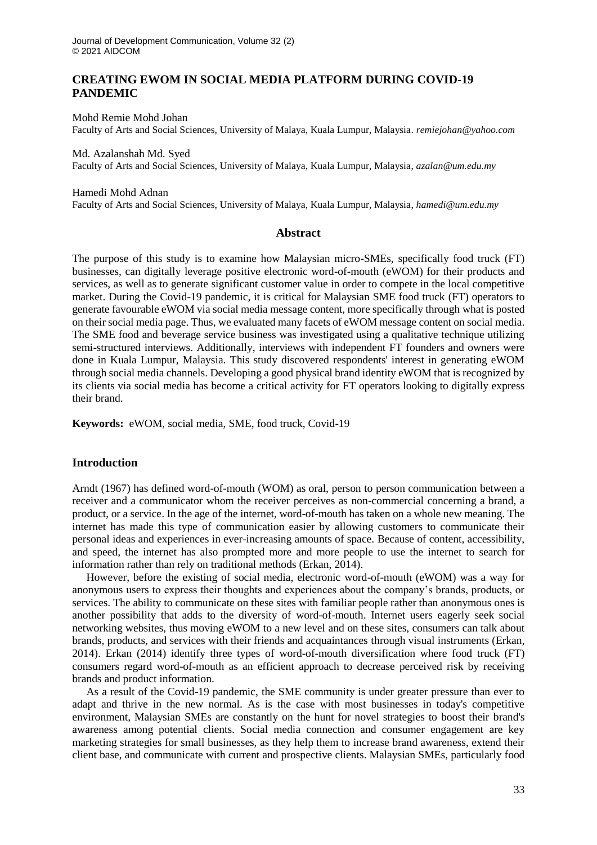## **CREATING EWOM IN SOCIAL MEDIA PLATFORM DURING COVID-19 PANDEMIC**

Mohd Remie Mohd Johan Faculty of Arts and Social Sciences, University of Malaya, Kuala Lumpur, Malaysia. *remiejohan@yahoo.com*

Md. Azalanshah Md. Syed Faculty of Arts and Social Sciences, University of Malaya, Kuala Lumpur, Malaysia, *azalan@um.edu.my*

Hamedi Mohd Adnan Faculty of Arts and Social Sciences, University of Malaya, Kuala Lumpur, Malaysia, *hamedi@um.edu.my*

## **Abstract**

The purpose of this study is to examine how Malaysian micro-SMEs, specifically food truck (FT) businesses, can digitally leverage positive electronic word-of-mouth (eWOM) for their products and services, as well as to generate significant customer value in order to compete in the local competitive market. During the Covid-19 pandemic, it is critical for Malaysian SME food truck (FT) operators to generate favourable eWOM via social media message content, more specifically through what is posted on their social media page. Thus, we evaluated many facets of eWOM message content on social media. The SME food and beverage service business was investigated using a qualitative technique utilizing semi-structured interviews. Additionally, interviews with independent FT founders and owners were done in Kuala Lumpur, Malaysia. This study discovered respondents' interest in generating eWOM through social media channels. Developing a good physical brand identity eWOM that is recognized by its clients via social media has become a critical activity for FT operators looking to digitally express their brand.

**Keywords:** eWOM, social media, SME, food truck, Covid-19

## **Introduction**

Arndt (1967) has defined word-of-mouth (WOM) as oral, person to person communication between a receiver and a communicator whom the receiver perceives as non-commercial concerning a brand, a product, or a service. In the age of the internet, word-of-mouth has taken on a whole new meaning. The internet has made this type of communication easier by allowing customers to communicate their personal ideas and experiences in ever-increasing amounts of space. Because of content, accessibility, and speed, the internet has also prompted more and more people to use the internet to search for information rather than rely on traditional methods (Erkan, 2014).

However, before the existing of social media, electronic word-of-mouth (eWOM) was a way for anonymous users to express their thoughts and experiences about the company's brands, products, or services. The ability to communicate on these sites with familiar people rather than anonymous ones is another possibility that adds to the diversity of word-of-mouth. Internet users eagerly seek social networking websites, thus moving eWOM to a new level and on these sites, consumers can talk about brands, products, and services with their friends and acquaintances through visual instruments (Erkan, 2014). Erkan (2014) identify three types of word-of-mouth diversification where food truck (FT) consumers regard word-of-mouth as an efficient approach to decrease perceived risk by receiving brands and product information.

As a result of the Covid-19 pandemic, the SME community is under greater pressure than ever to adapt and thrive in the new normal. As is the case with most businesses in today's competitive environment, Malaysian SMEs are constantly on the hunt for novel strategies to boost their brand's awareness among potential clients. Social media connection and consumer engagement are key marketing strategies for small businesses, as they help them to increase brand awareness, extend their client base, and communicate with current and prospective clients. Malaysian SMEs, particularly food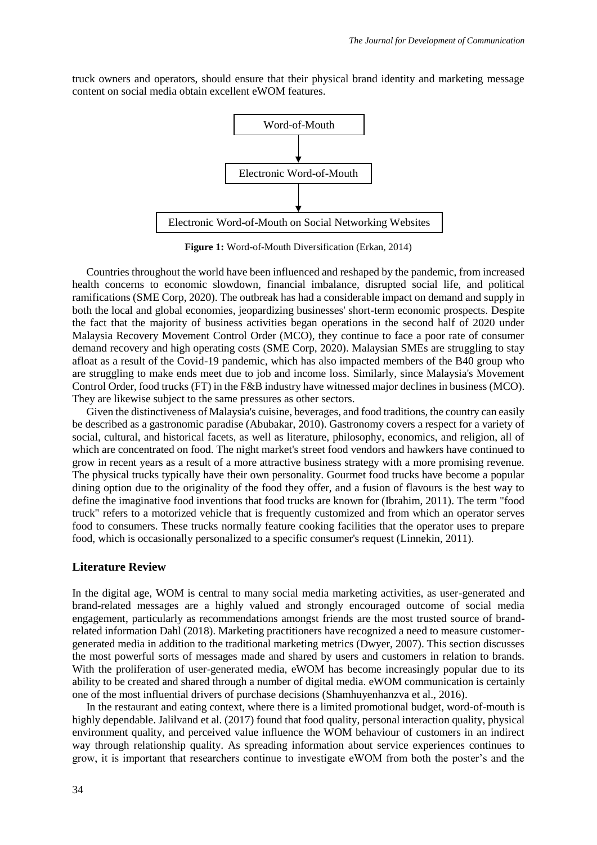truck owners and operators, should ensure that their physical brand identity and marketing message content on social media obtain excellent eWOM features.



**Figure 1:** Word-of-Mouth Diversification (Erkan, 2014)

Countries throughout the world have been influenced and reshaped by the pandemic, from increased health concerns to economic slowdown, financial imbalance, disrupted social life, and political ramifications (SME Corp, 2020). The outbreak has had a considerable impact on demand and supply in both the local and global economies, jeopardizing businesses' short-term economic prospects. Despite the fact that the majority of business activities began operations in the second half of 2020 under Malaysia Recovery Movement Control Order (MCO), they continue to face a poor rate of consumer demand recovery and high operating costs (SME Corp, 2020). Malaysian SMEs are struggling to stay afloat as a result of the Covid-19 pandemic, which has also impacted members of the B40 group who are struggling to make ends meet due to job and income loss. Similarly, since Malaysia's Movement Control Order, food trucks (FT) in the F&B industry have witnessed major declines in business (MCO). They are likewise subject to the same pressures as other sectors.

Given the distinctiveness of Malaysia's cuisine, beverages, and food traditions, the country can easily be described as a gastronomic paradise (Abubakar, 2010). Gastronomy covers a respect for a variety of social, cultural, and historical facets, as well as literature, philosophy, economics, and religion, all of which are concentrated on food. The night market's street food vendors and hawkers have continued to grow in recent years as a result of a more attractive business strategy with a more promising revenue. The physical trucks typically have their own personality. Gourmet food trucks have become a popular dining option due to the originality of the food they offer, and a fusion of flavours is the best way to define the imaginative food inventions that food trucks are known for (Ibrahim, 2011). The term "food truck" refers to a motorized vehicle that is frequently customized and from which an operator serves food to consumers. These trucks normally feature cooking facilities that the operator uses to prepare food, which is occasionally personalized to a specific consumer's request (Linnekin, 2011).

## **Literature Review**

In the digital age, WOM is central to many social media marketing activities, as user-generated and brand-related messages are a highly valued and strongly encouraged outcome of social media engagement, particularly as recommendations amongst friends are the most trusted source of brandrelated information Dahl (2018). Marketing practitioners have recognized a need to measure customergenerated media in addition to the traditional marketing metrics (Dwyer, 2007). This section discusses the most powerful sorts of messages made and shared by users and customers in relation to brands. With the proliferation of user-generated media, eWOM has become increasingly popular due to its ability to be created and shared through a number of digital media. eWOM communication is certainly one of the most influential drivers of purchase decisions (Shamhuyenhanzva et al., 2016).

In the restaurant and eating context, where there is a limited promotional budget, word-of-mouth is highly dependable. Jalilvand et al. (2017) found that food quality, personal interaction quality, physical environment quality, and perceived value influence the WOM behaviour of customers in an indirect way through relationship quality. As spreading information about service experiences continues to grow, it is important that researchers continue to investigate eWOM from both the poster's and the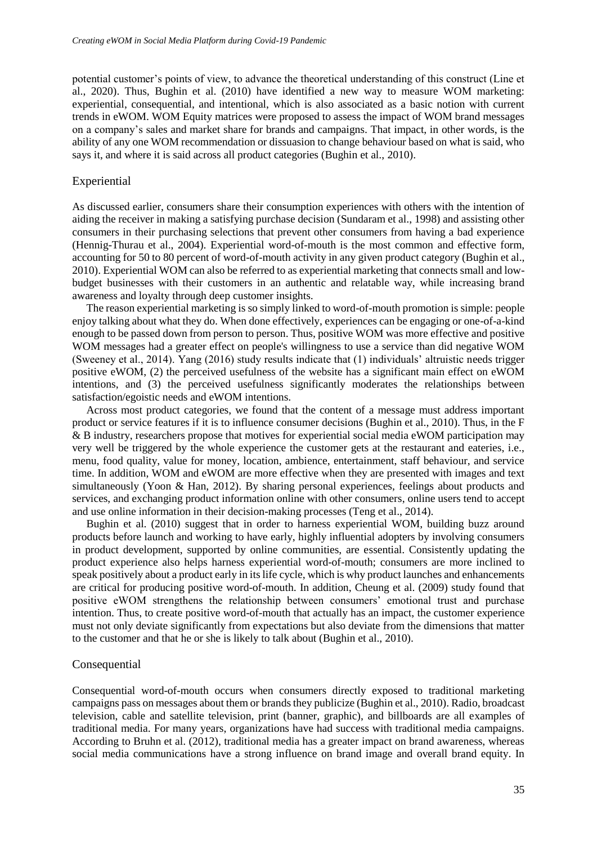potential customer's points of view, to advance the theoretical understanding of this construct (Line et al., 2020). Thus, Bughin et al. (2010) have identified a new way to measure WOM marketing: experiential, consequential, and intentional, which is also associated as a basic notion with current trends in eWOM. WOM Equity matrices were proposed to assess the impact of WOM brand messages on a company's sales and market share for brands and campaigns. That impact, in other words, is the ability of any one WOM recommendation or dissuasion to change behaviour based on what is said, who says it, and where it is said across all product categories (Bughin et al., 2010).

## Experiential

As discussed earlier, consumers share their consumption experiences with others with the intention of aiding the receiver in making a satisfying purchase decision (Sundaram et al., 1998) and assisting other consumers in their purchasing selections that prevent other consumers from having a bad experience (Hennig-Thurau et al., 2004). Experiential word-of-mouth is the most common and effective form, accounting for 50 to 80 percent of word-of-mouth activity in any given product category (Bughin et al., 2010). Experiential WOM can also be referred to as experiential marketing that connects small and lowbudget businesses with their customers in an authentic and relatable way, while increasing brand awareness and loyalty through deep customer insights.

The reason experiential marketing is so simply linked to word-of-mouth promotion is simple: people enjoy talking about what they do. When done effectively, experiences can be engaging or one-of-a-kind enough to be passed down from person to person. Thus, positive WOM was more effective and positive WOM messages had a greater effect on people's willingness to use a service than did negative WOM (Sweeney et al., 2014). Yang (2016) study results indicate that (1) individuals' altruistic needs trigger positive eWOM, (2) the perceived usefulness of the website has a significant main effect on eWOM intentions, and (3) the perceived usefulness significantly moderates the relationships between satisfaction/egoistic needs and eWOM intentions.

Across most product categories, we found that the content of a message must address important product or service features if it is to influence consumer decisions (Bughin et al., 2010). Thus, in the F & B industry, researchers propose that motives for experiential social media eWOM participation may very well be triggered by the whole experience the customer gets at the restaurant and eateries, i.e., menu, food quality, value for money, location, ambience, entertainment, staff behaviour, and service time. In addition, WOM and eWOM are more effective when they are presented with images and text simultaneously (Yoon & Han, 2012). By sharing personal experiences, feelings about products and services, and exchanging product information online with other consumers, online users tend to accept and use online information in their decision-making processes (Teng et al., 2014).

Bughin et al. (2010) suggest that in order to harness experiential WOM, building buzz around products before launch and working to have early, highly influential adopters by involving consumers in product development, supported by online communities, are essential. Consistently updating the product experience also helps harness experiential word-of-mouth; consumers are more inclined to speak positively about a product early in its life cycle, which is why product launches and enhancements are critical for producing positive word-of-mouth. In addition, Cheung et al. (2009) study found that positive eWOM strengthens the relationship between consumers' emotional trust and purchase intention. Thus, to create positive word-of-mouth that actually has an impact, the customer experience must not only deviate significantly from expectations but also deviate from the dimensions that matter to the customer and that he or she is likely to talk about (Bughin et al., 2010).

#### **Consequential**

Consequential word-of-mouth occurs when consumers directly exposed to traditional marketing campaigns pass on messages about them or brands they publicize (Bughin et al., 2010). Radio, broadcast television, cable and satellite television, print (banner, graphic), and billboards are all examples of traditional media. For many years, organizations have had success with traditional media campaigns. According to Bruhn et al. (2012), traditional media has a greater impact on brand awareness, whereas social media communications have a strong influence on brand image and overall brand equity. In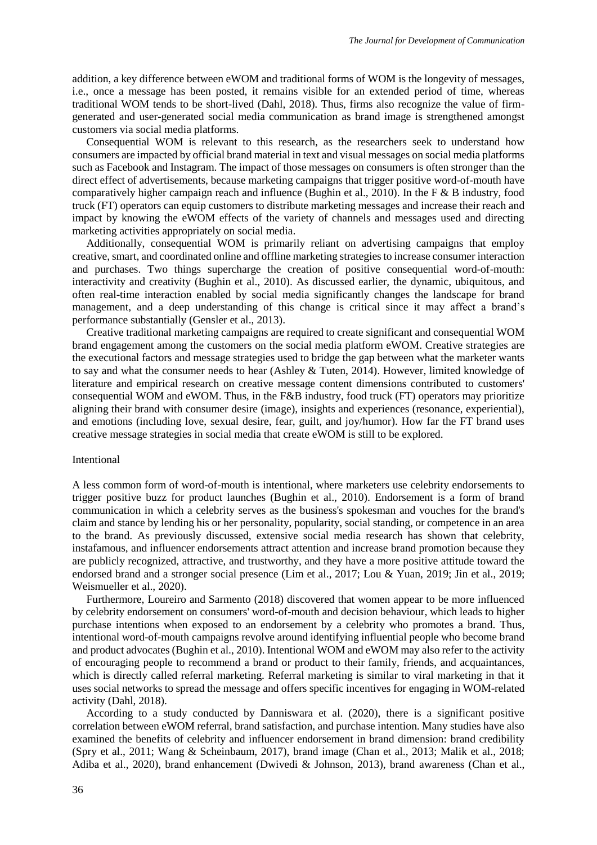addition, a key difference between eWOM and traditional forms of WOM is the longevity of messages, i.e., once a message has been posted, it remains visible for an extended period of time, whereas traditional WOM tends to be short-lived (Dahl, 2018). Thus, firms also recognize the value of firmgenerated and user-generated social media communication as brand image is strengthened amongst customers via social media platforms.

Consequential WOM is relevant to this research, as the researchers seek to understand how consumers are impacted by official brand material in text and visual messages on social media platforms such as Facebook and Instagram. The impact of those messages on consumers is often stronger than the direct effect of advertisements, because marketing campaigns that trigger positive word-of-mouth have comparatively higher campaign reach and influence (Bughin et al., 2010). In the F & B industry, food truck (FT) operators can equip customers to distribute marketing messages and increase their reach and impact by knowing the eWOM effects of the variety of channels and messages used and directing marketing activities appropriately on social media.

Additionally, consequential WOM is primarily reliant on advertising campaigns that employ creative, smart, and coordinated online and offline marketing strategies to increase consumer interaction and purchases. Two things supercharge the creation of positive consequential word-of-mouth: interactivity and creativity (Bughin et al., 2010). As discussed earlier, the dynamic, ubiquitous, and often real-time interaction enabled by social media significantly changes the landscape for brand management, and a deep understanding of this change is critical since it may affect a brand's performance substantially (Gensler et al., 2013).

Creative traditional marketing campaigns are required to create significant and consequential WOM brand engagement among the customers on the social media platform eWOM. Creative strategies are the executional factors and message strategies used to bridge the gap between what the marketer wants to say and what the consumer needs to hear (Ashley & Tuten, 2014). However, limited knowledge of literature and empirical research on creative message content dimensions contributed to customers' consequential WOM and eWOM. Thus, in the F&B industry, food truck (FT) operators may prioritize aligning their brand with consumer desire (image), insights and experiences (resonance, experiential), and emotions (including love, sexual desire, fear, guilt, and joy/humor). How far the FT brand uses creative message strategies in social media that create eWOM is still to be explored.

### Intentional

A less common form of word-of-mouth is intentional, where marketers use celebrity endorsements to trigger positive buzz for product launches (Bughin et al., 2010). Endorsement is a form of brand communication in which a celebrity serves as the business's spokesman and vouches for the brand's claim and stance by lending his or her personality, popularity, social standing, or competence in an area to the brand. As previously discussed, extensive social media research has shown that celebrity, instafamous, and influencer endorsements attract attention and increase brand promotion because they are publicly recognized, attractive, and trustworthy, and they have a more positive attitude toward the endorsed brand and a stronger social presence (Lim et al., 2017; Lou & Yuan, 2019; Jin et al., 2019; Weismueller et al., 2020).

Furthermore, Loureiro and Sarmento (2018) discovered that women appear to be more influenced by celebrity endorsement on consumers' word-of-mouth and decision behaviour, which leads to higher purchase intentions when exposed to an endorsement by a celebrity who promotes a brand. Thus, intentional word-of-mouth campaigns revolve around identifying influential people who become brand and product advocates (Bughin et al., 2010). Intentional WOM and eWOM may also refer to the activity of encouraging people to recommend a brand or product to their family, friends, and acquaintances, which is directly called referral marketing. Referral marketing is similar to viral marketing in that it uses social networks to spread the message and offers specific incentives for engaging in WOM-related activity (Dahl, 2018).

According to a study conducted by Danniswara et al. (2020), there is a significant positive correlation between eWOM referral, brand satisfaction, and purchase intention. Many studies have also examined the benefits of celebrity and influencer endorsement in brand dimension: brand credibility (Spry et al., 2011; Wang & Scheinbaum, 2017), brand image (Chan et al., 2013; Malik et al., 2018; Adiba et al., 2020), brand enhancement (Dwivedi & Johnson, 2013), brand awareness (Chan et al.,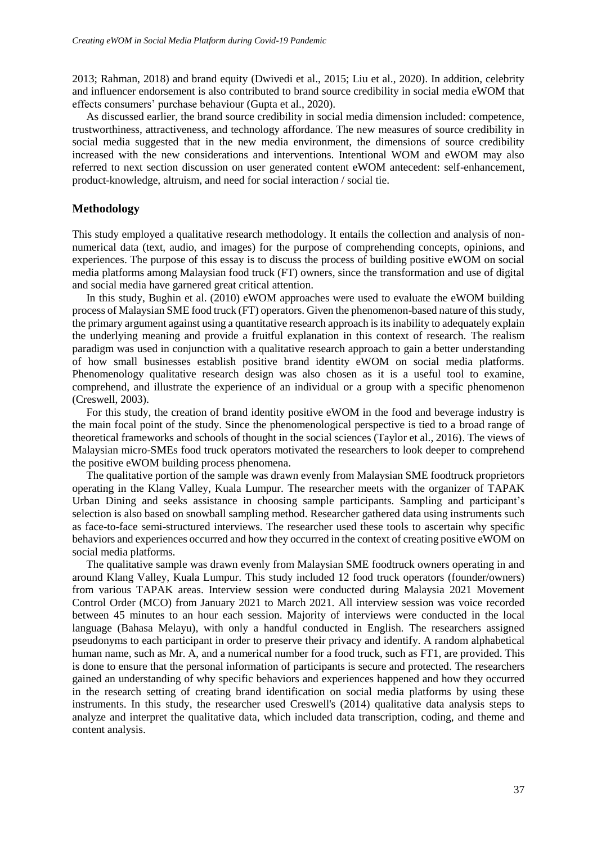2013; Rahman, 2018) and brand equity (Dwivedi et al., 2015; Liu et al., 2020). In addition, celebrity and influencer endorsement is also contributed to brand source credibility in social media eWOM that effects consumers' purchase behaviour (Gupta et al., 2020).

As discussed earlier, the brand source credibility in social media dimension included: competence, trustworthiness, attractiveness, and technology affordance. The new measures of source credibility in social media suggested that in the new media environment, the dimensions of source credibility increased with the new considerations and interventions. Intentional WOM and eWOM may also referred to next section discussion on user generated content eWOM antecedent: self-enhancement, product-knowledge, altruism, and need for social interaction / social tie.

## **Methodology**

This study employed a qualitative research methodology. It entails the collection and analysis of nonnumerical data (text, audio, and images) for the purpose of comprehending concepts, opinions, and experiences. The purpose of this essay is to discuss the process of building positive eWOM on social media platforms among Malaysian food truck (FT) owners, since the transformation and use of digital and social media have garnered great critical attention.

In this study, Bughin et al. (2010) eWOM approaches were used to evaluate the eWOM building process of Malaysian SME food truck (FT) operators. Given the phenomenon-based nature of this study, the primary argument against using a quantitative research approach is its inability to adequately explain the underlying meaning and provide a fruitful explanation in this context of research. The realism paradigm was used in conjunction with a qualitative research approach to gain a better understanding of how small businesses establish positive brand identity eWOM on social media platforms. Phenomenology qualitative research design was also chosen as it is a useful tool to examine, comprehend, and illustrate the experience of an individual or a group with a specific phenomenon (Creswell, 2003).

For this study, the creation of brand identity positive eWOM in the food and beverage industry is the main focal point of the study. Since the phenomenological perspective is tied to a broad range of theoretical frameworks and schools of thought in the social sciences (Taylor et al., 2016). The views of Malaysian micro-SMEs food truck operators motivated the researchers to look deeper to comprehend the positive eWOM building process phenomena.

The qualitative portion of the sample was drawn evenly from Malaysian SME foodtruck proprietors operating in the Klang Valley, Kuala Lumpur. The researcher meets with the organizer of TAPAK Urban Dining and seeks assistance in choosing sample participants. Sampling and participant's selection is also based on snowball sampling method. Researcher gathered data using instruments such as face-to-face semi-structured interviews. The researcher used these tools to ascertain why specific behaviors and experiences occurred and how they occurred in the context of creating positive eWOM on social media platforms.

The qualitative sample was drawn evenly from Malaysian SME foodtruck owners operating in and around Klang Valley, Kuala Lumpur. This study included 12 food truck operators (founder/owners) from various TAPAK areas. Interview session were conducted during Malaysia 2021 Movement Control Order (MCO) from January 2021 to March 2021. All interview session was voice recorded between 45 minutes to an hour each session. Majority of interviews were conducted in the local language (Bahasa Melayu), with only a handful conducted in English. The researchers assigned pseudonyms to each participant in order to preserve their privacy and identify. A random alphabetical human name, such as Mr. A, and a numerical number for a food truck, such as FT1, are provided. This is done to ensure that the personal information of participants is secure and protected. The researchers gained an understanding of why specific behaviors and experiences happened and how they occurred in the research setting of creating brand identification on social media platforms by using these instruments. In this study, the researcher used Creswell's (2014) qualitative data analysis steps to analyze and interpret the qualitative data, which included data transcription, coding, and theme and content analysis.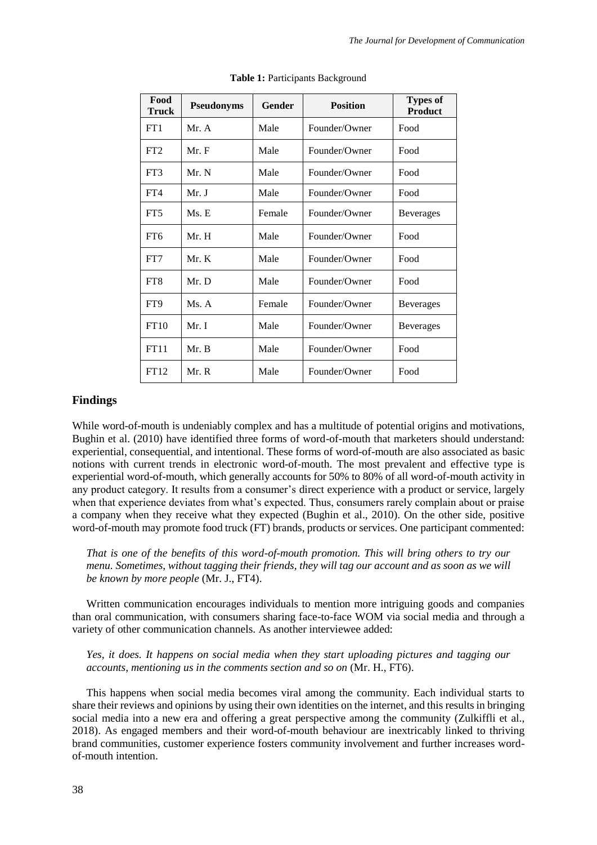| Food<br><b>Truck</b> | <b>Pseudonyms</b> | Gender | <b>Position</b> | <b>Types of</b><br><b>Product</b> |
|----------------------|-------------------|--------|-----------------|-----------------------------------|
| FT1                  | Mr. A             | Male   | Founder/Owner   | Food                              |
| FT2                  | Mr. F             | Male   | Founder/Owner   | Food                              |
| FT3                  | Mr. N             | Male   | Founder/Owner   | Food                              |
| FT4                  | Mr. J             | Male   | Founder/Owner   | Food                              |
| FT <sub>5</sub>      | Ms. E             | Female | Founder/Owner   | <b>Beverages</b>                  |
| FT <sub>6</sub>      | Mr. H             | Male   | Founder/Owner   | Food                              |
| FT7                  | Mr. K             | Male   | Founder/Owner   | Food                              |
| FT <sub>8</sub>      | Mr. D             | Male   | Founder/Owner   | Food                              |
| FT9                  | Ms. A             | Female | Founder/Owner   | <b>Beverages</b>                  |
| FT10                 | Mr. I             | Male   | Founder/Owner   | <b>Beverages</b>                  |
| FT11                 | Mr. B             | Male   | Founder/Owner   | Food                              |
| FT12                 | Mr. R             | Male   | Founder/Owner   | Food                              |

Table 1: Participants Background

# **Findings**

While word-of-mouth is undeniably complex and has a multitude of potential origins and motivations, Bughin et al. (2010) have identified three forms of word-of-mouth that marketers should understand: experiential, consequential, and intentional. These forms of word-of-mouth are also associated as basic notions with current trends in electronic word-of-mouth. The most prevalent and effective type is experiential word-of-mouth, which generally accounts for 50% to 80% of all word-of-mouth activity in any product category. It results from a consumer's direct experience with a product or service, largely when that experience deviates from what's expected. Thus, consumers rarely complain about or praise a company when they receive what they expected (Bughin et al., 2010). On the other side, positive word-of-mouth may promote food truck (FT) brands, products or services. One participant commented:

*That is one of the benefits of this word-of-mouth promotion. This will bring others to try our menu. Sometimes, without tagging their friends, they will tag our account and as soon as we will be known by more people* (Mr. J., FT4).

Written communication encourages individuals to mention more intriguing goods and companies than oral communication, with consumers sharing face-to-face WOM via social media and through a variety of other communication channels. As another interviewee added:

*Yes, it does. It happens on social media when they start uploading pictures and tagging our accounts, mentioning us in the comments section and so on* (Mr. H., FT6).

This happens when social media becomes viral among the community. Each individual starts to share their reviews and opinions by using their own identities on the internet, and this results in bringing social media into a new era and offering a great perspective among the community (Zulkiffli et al., 2018). As engaged members and their word-of-mouth behaviour are inextricably linked to thriving brand communities, customer experience fosters community involvement and further increases wordof-mouth intention.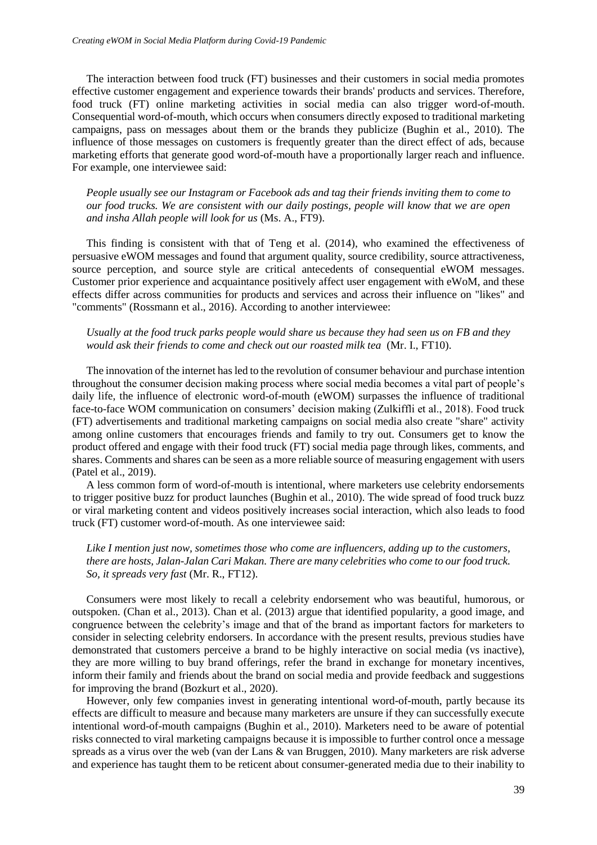The interaction between food truck (FT) businesses and their customers in social media promotes effective customer engagement and experience towards their brands' products and services. Therefore, food truck (FT) online marketing activities in social media can also trigger word-of-mouth. Consequential word-of-mouth, which occurs when consumers directly exposed to traditional marketing campaigns, pass on messages about them or the brands they publicize (Bughin et al., 2010). The influence of those messages on customers is frequently greater than the direct effect of ads, because marketing efforts that generate good word-of-mouth have a proportionally larger reach and influence. For example, one interviewee said:

*People usually see our Instagram or Facebook ads and tag their friends inviting them to come to our food trucks. We are consistent with our daily postings, people will know that we are open and insha Allah people will look for us* (Ms. A., FT9).

This finding is consistent with that of Teng et al. (2014), who examined the effectiveness of persuasive eWOM messages and found that argument quality, source credibility, source attractiveness, source perception, and source style are critical antecedents of consequential eWOM messages*.*  Customer prior experience and acquaintance positively affect user engagement with eWoM, and these effects differ across communities for products and services and across their influence on "likes" and "comments" (Rossmann et al., 2016). According to another interviewee:

*Usually at the food truck parks people would share us because they had seen us on FB and they would ask their friends to come and check out our roasted milk tea* (Mr. I., FT10).

The innovation of the internet has led to the revolution of consumer behaviour and purchase intention throughout the consumer decision making process where social media becomes a vital part of people's daily life, the influence of electronic word-of-mouth (eWOM) surpasses the influence of traditional face-to-face WOM communication on consumers' decision making (Zulkiffli et al., 2018). Food truck (FT) advertisements and traditional marketing campaigns on social media also create "share" activity among online customers that encourages friends and family to try out. Consumers get to know the product offered and engage with their food truck (FT) social media page through likes, comments, and shares. Comments and shares can be seen as a more reliable source of measuring engagement with users (Patel et al., 2019).

A less common form of word-of-mouth is intentional, where marketers use celebrity endorsements to trigger positive buzz for product launches (Bughin et al., 2010). The wide spread of food truck buzz or viral marketing content and videos positively increases social interaction, which also leads to food truck (FT) customer word-of-mouth. As one interviewee said:

## *Like I mention just now, sometimes those who come are influencers, adding up to the customers, there are hosts, Jalan-Jalan Cari Makan. There are many celebrities who come to our food truck. So, it spreads very fast* (Mr. R., FT12).

Consumers were most likely to recall a celebrity endorsement who was beautiful, humorous, or outspoken. (Chan et al., 2013). Chan et al. (2013) argue that identified popularity, a good image, and congruence between the celebrity's image and that of the brand as important factors for marketers to consider in selecting celebrity endorsers. In accordance with the present results, previous studies have demonstrated that customers perceive a brand to be highly interactive on social media (vs inactive), they are more willing to buy brand offerings, refer the brand in exchange for monetary incentives, inform their family and friends about the brand on social media and provide feedback and suggestions for improving the brand (Bozkurt et al., 2020).

However, only few companies invest in generating intentional word-of-mouth, partly because its effects are difficult to measure and because many marketers are unsure if they can successfully execute intentional word-of-mouth campaigns (Bughin et al., 2010). Marketers need to be aware of potential risks connected to viral marketing campaigns because it is impossible to further control once a message spreads as a virus over the web (van der Lans & van Bruggen, 2010). Many marketers are risk adverse and experience has taught them to be reticent about consumer-generated media due to their inability to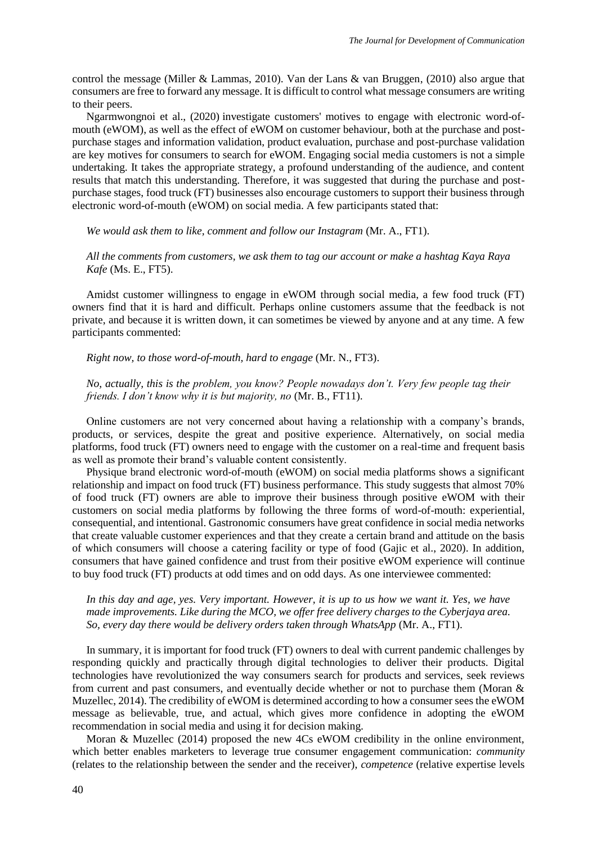control the message (Miller & Lammas, 2010). Van der Lans & van Bruggen, (2010) also argue that consumers are free to forward any message. It is difficult to control what message consumers are writing to their peers.

Ngarmwongnoi et al., (2020) investigate customers' motives to engage with electronic word-ofmouth (eWOM), as well as the effect of eWOM on customer behaviour, both at the purchase and postpurchase stages and information validation, product evaluation, purchase and post-purchase validation are key motives for consumers to search for eWOM. Engaging social media customers is not a simple undertaking. It takes the appropriate strategy, a profound understanding of the audience, and content results that match this understanding. Therefore, it was suggested that during the purchase and postpurchase stages, food truck (FT) businesses also encourage customers to support their business through electronic word-of-mouth (eWOM) on social media. A few participants stated that:

*We would ask them to like, comment and follow our Instagram* (Mr. A., FT1).

*All the comments from customers, we ask them to tag our account or make a hashtag Kaya Raya Kafe* (Ms. E., FT5).

Amidst customer willingness to engage in eWOM through social media, a few food truck (FT) owners find that it is hard and difficult. Perhaps online customers assume that the feedback is not private, and because it is written down, it can sometimes be viewed by anyone and at any time. A few participants commented:

*Right now, to those word-of-mouth, hard to engage* (Mr. N., FT3).

*No, actually, this is the problem, you know? People nowadays don't. Very few people tag their friends. I don't know why it is but majority, no* (Mr. B., FT11).

Online customers are not very concerned about having a relationship with a company's brands, products, or services, despite the great and positive experience. Alternatively, on social media platforms, food truck (FT) owners need to engage with the customer on a real-time and frequent basis as well as promote their brand's valuable content consistently.

Physique brand electronic word-of-mouth (eWOM) on social media platforms shows a significant relationship and impact on food truck (FT) business performance. This study suggests that almost 70% of food truck (FT) owners are able to improve their business through positive eWOM with their customers on social media platforms by following the three forms of word-of-mouth: experiential, consequential, and intentional. Gastronomic consumers have great confidence in social media networks that create valuable customer experiences and that they create a certain brand and attitude on the basis of which consumers will choose a catering facility or type of food (Gajic et al., 2020). In addition, consumers that have gained confidence and trust from their positive eWOM experience will continue to buy food truck (FT) products at odd times and on odd days. As one interviewee commented:

*In this day and age, yes. Very important. However, it is up to us how we want it. Yes, we have made improvements. Like during the MCO, we offer free delivery charges to the Cyberjaya area. So, every day there would be delivery orders taken through WhatsApp* (Mr. A., FT1).

In summary, it is important for food truck (FT) owners to deal with current pandemic challenges by responding quickly and practically through digital technologies to deliver their products. Digital technologies have revolutionized the way consumers search for products and services, seek reviews from current and past consumers, and eventually decide whether or not to purchase them (Moran & Muzellec, 2014). The credibility of eWOM is determined according to how a consumer sees the eWOM message as believable, true, and actual, which gives more confidence in adopting the eWOM recommendation in social media and using it for decision making.

Moran & Muzellec (2014) proposed the new 4Cs eWOM credibility in the online environment, which better enables marketers to leverage true consumer engagement communication: *community* (relates to the relationship between the sender and the receiver), *competence* (relative expertise levels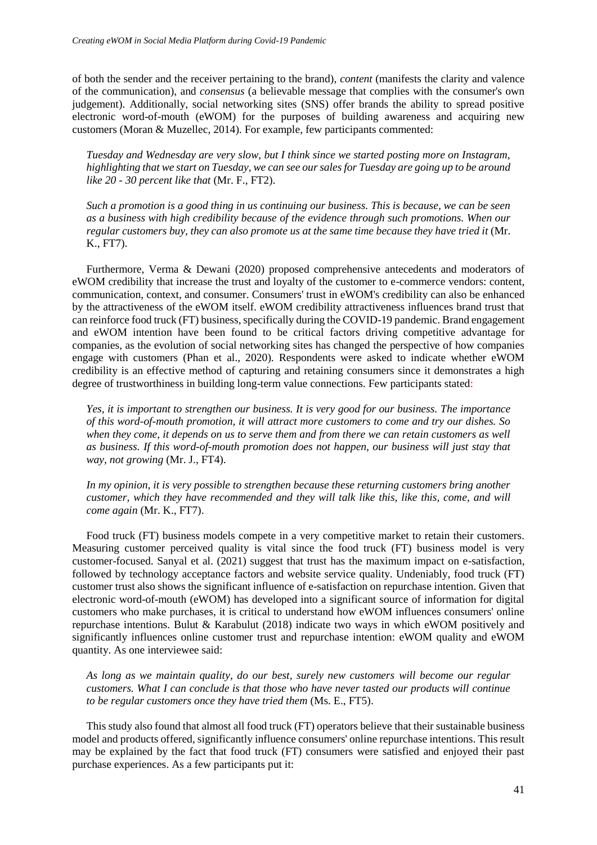of both the sender and the receiver pertaining to the brand), *content* (manifests the clarity and valence of the communication), and *consensus* (a believable message that complies with the consumer's own judgement). Additionally, social networking sites (SNS) offer brands the ability to spread positive electronic word-of-mouth (eWOM) for the purposes of building awareness and acquiring new customers (Moran & Muzellec, 2014). For example, few participants commented:

*Tuesday and Wednesday are very slow, but I think since we started posting more on Instagram, highlighting that we start on Tuesday, we can see our sales for Tuesday are going up to be around like 20 - 30 percent like that* (Mr. F., FT2).

*Such a promotion is a good thing in us continuing our business. This is because, we can be seen as a business with high credibility because of the evidence through such promotions. When our regular customers buy, they can also promote us at the same time because they have tried it* (Mr. K., FT7).

Furthermore, Verma & Dewani (2020) proposed comprehensive antecedents and moderators of eWOM credibility that increase the trust and loyalty of the customer to e-commerce vendors: content, communication, context, and consumer. Consumers' trust in eWOM's credibility can also be enhanced by the attractiveness of the eWOM itself. eWOM credibility attractiveness influences brand trust that can reinforce food truck (FT) business, specifically during the COVID-19 pandemic. Brand engagement and eWOM intention have been found to be critical factors driving competitive advantage for companies, as the evolution of social networking sites has changed the perspective of how companies engage with customers (Phan et al., 2020). Respondents were asked to indicate whether eWOM credibility is an effective method of capturing and retaining consumers since it demonstrates a high degree of trustworthiness in building long-term value connections. Few participants stated:

*Yes, it is important to strengthen our business. It is very good for our business. The importance of this word-of-mouth promotion, it will attract more customers to come and try our dishes. So when they come, it depends on us to serve them and from there we can retain customers as well as business. If this word-of-mouth promotion does not happen, our business will just stay that way, not growing* (Mr. J., FT4).

*In my opinion, it is very possible to strengthen because these returning customers bring another customer, which they have recommended and they will talk like this, like this, come, and will come again* (Mr. K., FT7).

Food truck (FT) business models compete in a very competitive market to retain their customers. Measuring customer perceived quality is vital since the food truck (FT) business model is very customer-focused. Sanyal et al. (2021) suggest that trust has the maximum impact on e-satisfaction, followed by technology acceptance factors and website service quality. Undeniably, food truck (FT) customer trust also shows the significant influence of e-satisfaction on repurchase intention. Given that electronic word-of-mouth (eWOM) has developed into a significant source of information for digital customers who make purchases, it is critical to understand how eWOM influences consumers' online repurchase intentions. Bulut & Karabulut (2018) indicate two ways in which eWOM positively and significantly influences online customer trust and repurchase intention: eWOM quality and eWOM quantity. As one interviewee said:

*As long as we maintain quality, do our best, surely new customers will become our regular customers. What I can conclude is that those who have never tasted our products will continue to be regular customers once they have tried them* (Ms. E., FT5).

This study also found that almost all food truck (FT) operators believe that their sustainable business model and products offered, significantly influence consumers' online repurchase intentions. This result may be explained by the fact that food truck (FT) consumers were satisfied and enjoyed their past purchase experiences. As a few participants put it: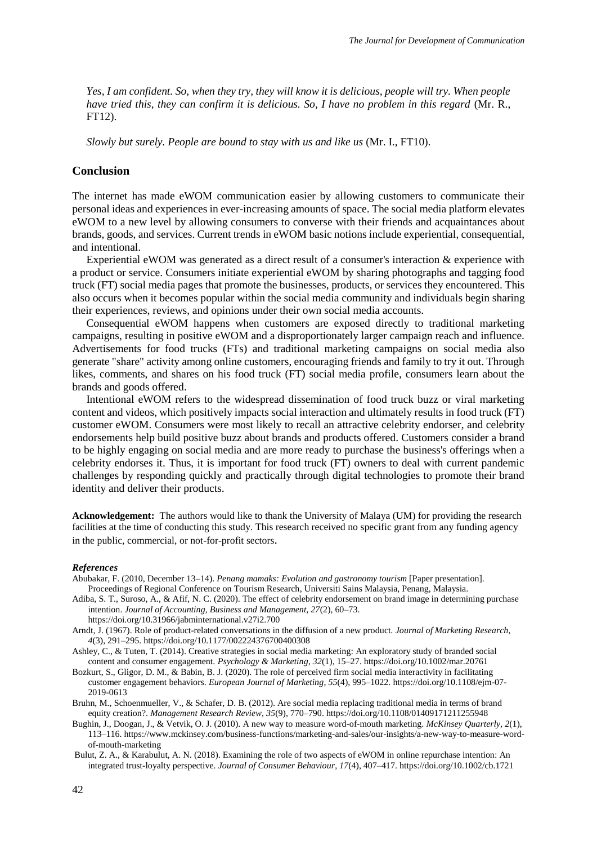*Yes, I am confident. So, when they try, they will know it is delicious, people will try. When people have tried this, they can confirm it is delicious. So, I have no problem in this regard* (Mr. R., FT12).

*Slowly but surely. People are bound to stay with us and like us* (Mr. I., FT10).

## **Conclusion**

The internet has made eWOM communication easier by allowing customers to communicate their personal ideas and experiences in ever-increasing amounts of space. The social media platform elevates eWOM to a new level by allowing consumers to converse with their friends and acquaintances about brands, goods, and services. Current trends in eWOM basic notions include experiential, consequential, and intentional.

Experiential eWOM was generated as a direct result of a consumer's interaction & experience with a product or service. Consumers initiate experiential eWOM by sharing photographs and tagging food truck (FT) social media pages that promote the businesses, products, or services they encountered. This also occurs when it becomes popular within the social media community and individuals begin sharing their experiences, reviews, and opinions under their own social media accounts.

Consequential eWOM happens when customers are exposed directly to traditional marketing campaigns, resulting in positive eWOM and a disproportionately larger campaign reach and influence. Advertisements for food trucks (FTs) and traditional marketing campaigns on social media also generate "share" activity among online customers, encouraging friends and family to try it out. Through likes, comments, and shares on his food truck (FT) social media profile, consumers learn about the brands and goods offered.

Intentional eWOM refers to the widespread dissemination of food truck buzz or viral marketing content and videos, which positively impacts social interaction and ultimately results in food truck (FT) customer eWOM. Consumers were most likely to recall an attractive celebrity endorser, and celebrity endorsements help build positive buzz about brands and products offered. Customers consider a brand to be highly engaging on social media and are more ready to purchase the business's offerings when a celebrity endorses it. Thus, it is important for food truck (FT) owners to deal with current pandemic challenges by responding quickly and practically through digital technologies to promote their brand identity and deliver their products.

**Acknowledgement:** The authors would like to thank the University of Malaya (UM) for providing the research facilities at the time of conducting this study. This research received no specific grant from any funding agency in the public, commercial, or not-for-profit sectors.

#### *References*

- Abubakar, F. (2010, December 13–14). *Penang mamaks: Evolution and gastronomy tourism* [Paper presentation]. Proceedings of Regional Conference on Tourism Research, Universiti Sains Malaysia, Penang, Malaysia.
- Adiba, S. T., Suroso, A., & Afif, N. C. (2020). The effect of celebrity endorsement on brand image in determining purchase intention. *Journal of Accounting, Business and Management, 27*(2), 60–73. https://doi.org/10.31966/jabminternational.v27i2.700
- Arndt, J. (1967). Role of product-related conversations in the diffusion of a new product. *Journal of Marketing Research*,  *4*(3), 291–295. https://doi.org/10.1177/002224376700400308
- Ashley, C., & Tuten, T. (2014). Creative strategies in social media marketing: An exploratory study of branded social content and consumer engagement. *Psychology & Marketing*, *32*(1), 15–27. https://doi.org/10.1002/mar.20761
- Bozkurt, S., Gligor, D. M., & Babin, B. J. (2020). The role of perceived firm social media interactivity in facilitating customer engagement behaviors. *European Journal of Marketing*, *55*(4), 995–1022. https://doi.org/10.1108/ejm-07- 2019-0613
- Bruhn, M., Schoenmueller, V., & Schafer, D. B. (2012). Are social media replacing traditional media in terms of brand equity creation?. *Management Research Review*, *35*(9), 770–790. https://doi.org/10.1108/01409171211255948
- Bughin, J., Doogan, J., & Vetvik, O. J. (2010). A new way to measure word-of-mouth marketing. *McKinsey Quarterly*, *2*(1), 113–116. https://www.mckinsey.com/business-functions/marketing-and-sales/our-insights/a-new-way-to-measure-word of-mouth-marketing
- Bulut, Z. A., & Karabulut, A. N. (2018). Examining the role of two aspects of eWOM in online repurchase intention: An integrated trust-loyalty perspective. *Journal of Consumer Behaviour*, *17*(4), 407–417. https://doi.org/10.1002/cb.1721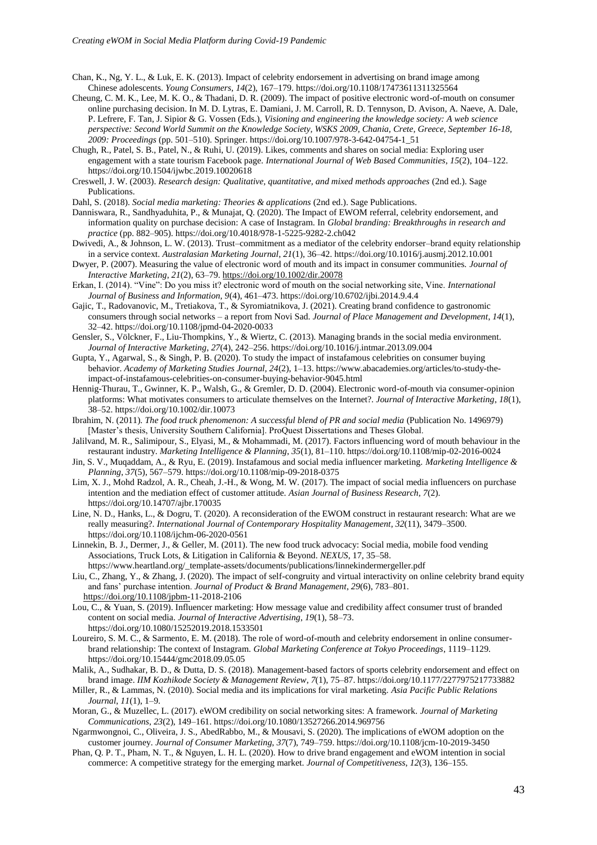- Chan, K., Ng, Y. L., & Luk, E. K. (2013). Impact of celebrity endorsement in advertising on brand image among Chinese adolescents. *Young Consumers*, *14*(2), 167–179. https://doi.org/10.1108/17473611311325564
- Cheung, C. M. K., Lee, M. K. O., & Thadani, D. R. (2009). The impact of positive electronic word-of-mouth on consumer online purchasing decision. In M. D. Lytras, E. Damiani, J. M. Carroll, R. D. Tennyson, D. Avison, A. Naeve, A. Dale, P. Lefrere, F. Tan, J. Sipior & G. Vossen (Eds.), *Visioning and engineering the knowledge society: A web science perspective: Second World Summit on the Knowledge Society, WSKS 2009, Chania, Crete, Greece, September 16-18, 2009: Proceedings* (pp. 501–510). Springer. https://doi.org/10.1007/978-3-642-04754-1\_51
- Chugh, R., Patel, S. B., Patel, N., & Ruhi, U. (2019). Likes, comments and shares on social media: Exploring user engagement with a state tourism Facebook page. *International Journal of Web Based Communities*, *15*(2), 104–122. https://doi.org/10.1504/ijwbc.2019.10020618
- Creswell, J. W. (2003). *Research design: Qualitative, quantitative, and mixed methods approaches* (2nd ed.). Sage Publications.
- Dahl, S. (2018). *Social media marketing: Theories & applications* (2nd ed.). Sage Publications.
- Danniswara, R., Sandhyaduhita, P., & Munajat, Q. (2020). The Impact of EWOM referral, celebrity endorsement, and information quality on purchase decision: A case of Instagram. In *Global branding: Breakthroughs in research and practice* (pp. 882–905). https://doi.org/10.4018/978-1-5225-9282-2.ch042
- Dwivedi, A., & Johnson, L. W. (2013). Trust–commitment as a mediator of the celebrity endorser–brand equity relationship in a service context. *Australasian Marketing Journal*, *21*(1), 36–42. https://doi.org/10.1016/j.ausmj.2012.10.001
- Dwyer, P. (2007). Measuring the value of electronic word of mouth and its impact in consumer communities. *Journal of Interactive Marketing*, *21*(2), 63–79.<https://doi.org/10.1002/dir.20078>
- Erkan, I. (2014). "Vine": Do you miss it? electronic word of mouth on the social networking site, Vine. *International Journal of Business and Information, 9*(4), 461–473. https://doi.org/10.6702/ijbi.2014.9.4.4
- Gajic, T., Radovanovic, M., Tretiakova, T., & Syromiatnikova, J. (2021). Creating brand confidence to gastronomic consumers through social networks – a report from Novi Sad. *Journal of Place Management and Development*, *14*(1), 32–42. https://doi.org/10.1108/jpmd-04-2020-0033
- Gensler, S., Völckner, F., Liu-Thompkins, Y., & Wiertz, C. (2013). Managing brands in the social media environment.  *Journal of Interactive Marketing*, *27*(4), 242–256. https://doi.org/10.1016/j.intmar.2013.09.004
- Gupta, Y., Agarwal, S., & Singh, P. B. (2020). To study the impact of instafamous celebrities on consumer buying behavior. *Academy of Marketing Studies Journal, 24*(2), 1–13. https://www.abacademies.org/articles/to-study-the impact-of-instafamous-celebrities-on-consumer-buying-behavior-9045.html
- Hennig-Thurau, T., Gwinner, K. P., Walsh, G., & Gremler, D. D. (2004). Electronic word-of-mouth via consumer-opinion platforms: What motivates consumers to articulate themselves on the Internet?. *Journal of Interactive Marketing*, *18*(1), 38–52. https://doi.org/10.1002/dir.10073
- Ibrahim, N. (2011). *The food truck phenomenon: A successful blend of PR and social media* (Publication No. 1496979) [Master's thesis, University Southern California]. ProQuest Dissertations and Theses Global.
- Jalilvand, M. R., Salimipour, S., Elyasi, M., & Mohammadi, M. (2017). Factors influencing word of mouth behaviour in the restaurant industry. *Marketing Intelligence & Planning*, *35*(1), 81–110. https://doi.org/10.1108/mip-02-2016-0024
- Jin, S. V., Muqaddam, A., & Ryu, E. (2019). Instafamous and social media influencer marketing. *Marketing Intelligence & Planning*, *37*(5), 567–579. https://doi.org/10.1108/mip-09-2018-0375
- Lim, X. J., Mohd Radzol, A. R., Cheah, J.-H., & Wong, M. W. (2017). The impact of social media influencers on purchase intention and the mediation effect of customer attitude. *Asian Journal of Business Research*, *7*(2). https://doi.org/10.14707/ajbr.170035
- Line, N. D., Hanks, L., & Dogru, T. (2020). A reconsideration of the EWOM construct in restaurant research: What are we really measuring?. *International Journal of Contemporary Hospitality Management*, *32*(11), 3479–3500. https://doi.org/10.1108/ijchm-06-2020-0561
- Linnekin, B. J., Dermer, J., & Geller, M. (2011). The new food truck advocacy: Social media, mobile food vending Associations, Truck Lots, & Litigation in California & Beyond. *NEXUS*, 17, 35–58. https://www.heartland.org/\_template-assets/documents/publications/linnekindermergeller.pdf
- Liu, C., Zhang, Y., & Zhang, J. (2020). The impact of self-congruity and virtual interactivity on online celebrity brand equity and fans' purchase intention. *Journal of Product & Brand Management*, *29*(6), 783–801. [https://doi.org/10.1108/jpbm-1](https://doi.org/10.1108/jpbm-)1-2018-2106
- Lou, C., & Yuan, S. (2019). Influencer marketing: How message value and credibility affect consumer trust of branded content on social media. *Journal of Interactive Advertising*, *19*(1), 58–73. https://doi.org/10.1080/15252019.2018.1533501
- Loureiro, S. M. C., & Sarmento, E. M. (2018). The role of word-of-mouth and celebrity endorsement in online consumer brand relationship: The context of Instagram. *Global Marketing Conference at Tokyo Proceedings*, 1119–1129. https://doi.org/10.15444/gmc2018.09.05.05
- Malik, A., Sudhakar, B. D., & Dutta, D. S. (2018). Management-based factors of sports celebrity endorsement and effect on brand image. *IIM Kozhikode Society & Management Review*, *7*(1), 75–87. https://doi.org/10.1177/2277975217733882
- Miller, R., & Lammas, N. (2010). Social media and its implications for viral marketing. *Asia Pacific Public Relations Journal*, *11*(1), 1–9.
- Moran, G., & Muzellec, L. (2017). eWOM credibility on social networking sites: A framework. *Journal of Marketing Communications*, *23*(2), 149–161. https://doi.org/10.1080/13527266.2014.969756
- Ngarmwongnoi, C., Oliveira, J. S., AbedRabbo, M., & Mousavi, S. (2020). The implications of eWOM adoption on the customer journey. *Journal of Consumer Marketing*, *37*(7), 749–759. https://doi.org/10.1108/jcm-10-2019-3450
- Phan, Q. P. T., Pham, N. T., & Nguyen, L. H. L. (2020). How to drive brand engagement and eWOM intention in social commerce: A competitive strategy for the emerging market. *Journal of Competitiveness*, *12*(3), 136–155.